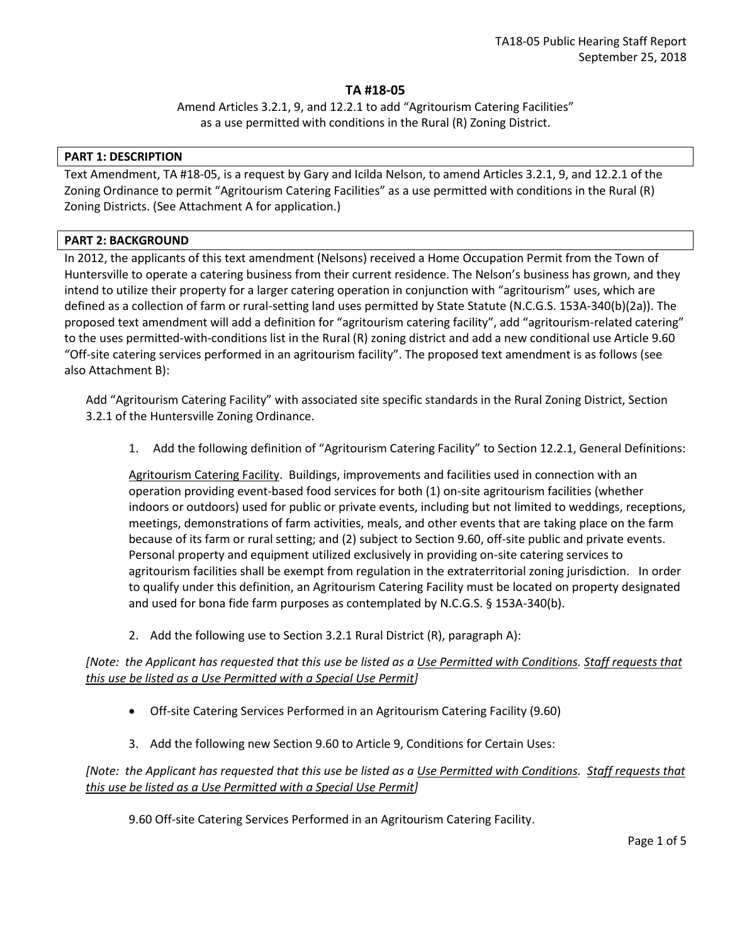## **TA #18-05**

Amend Articles 3.2.1, 9, and 12.2.1 to add "Agritourism Catering Facilities" as a use permitted with conditions in the Rural (R) Zoning District.

#### **PART 1: DESCRIPTION**

Text Amendment, TA #18-05, is a request by Gary and Icilda Nelson, to amend Articles 3.2.1, 9, and 12.2.1 of the Zoning Ordinance to permit "Agritourism Catering Facilities" as a use permitted with conditions in the Rural (R) Zoning Districts. (See Attachment A for application.)

### **PART 2: BACKGROUND**

In 2012, the applicants of this text amendment (Nelsons) received a Home Occupation Permit from the Town of Huntersville to operate a catering business from their current residence. The Nelson's business has grown, and they intend to utilize their property for a larger catering operation in conjunction with "agritourism" uses, which are defined as a collection of farm or rural-setting land uses permitted by State Statute (N.C.G.S. 153A-340(b)(2a)). The proposed text amendment will add a definition for "agritourism catering facility", add "agritourism-related catering" to the uses permitted-with-conditions list in the Rural (R) zoning district and add a new conditional use Article 9.60 "Off-site catering services performed in an agritourism facility". The proposed text amendment is as follows (see also Attachment B):

Add "Agritourism Catering Facility" with associated site specific standards in the Rural Zoning District, Section 3.2.1 of the Huntersville Zoning Ordinance.

1. Add the following definition of "Agritourism Catering Facility" to Section 12.2.1, General Definitions:

Agritourism Catering Facility. Buildings, improvements and facilities used in connection with an operation providing event-based food services for both (1) on-site agritourism facilities (whether indoors or outdoors) used for public or private events, including but not limited to weddings, receptions, meetings, demonstrations of farm activities, meals, and other events that are taking place on the farm because of its farm or rural setting; and (2) subject to Section 9.60, off-site public and private events. Personal property and equipment utilized exclusively in providing on-site catering services to agritourism facilities shall be exempt from regulation in the extraterritorial zoning jurisdiction. In order to qualify under this definition, an Agritourism Catering Facility must be located on property designated and used for bona fide farm purposes as contemplated by N.C.G.S. § 153A-340(b).

2. Add the following use to Section 3.2.1 Rural District (R), paragraph A):

*[Note: the Applicant has requested that this use be listed as a Use Permitted with Conditions. Staff requests that this use be listed as a Use Permitted with a Special Use Permit]*

- Off-site Catering Services Performed in an Agritourism Catering Facility (9.60)
- 3. Add the following new Section 9.60 to Article 9, Conditions for Certain Uses:

# *[Note: the Applicant has requested that this use be listed as a Use Permitted with Conditions. Staff requests that this use be listed as a Use Permitted with a Special Use Permit]*

9.60 Off-site Catering Services Performed in an Agritourism Catering Facility.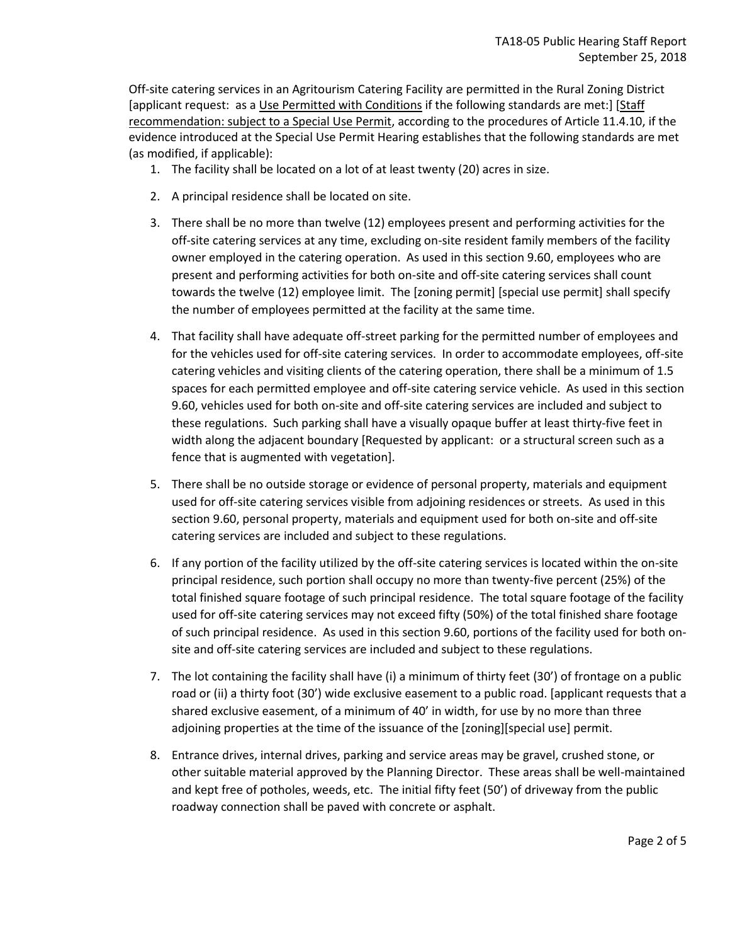Off-site catering services in an Agritourism Catering Facility are permitted in the Rural Zoning District [applicant request: as a Use Permitted with Conditions if the following standards are met:] [Staff recommendation: subject to a Special Use Permit, according to the procedures of Article 11.4.10, if the evidence introduced at the Special Use Permit Hearing establishes that the following standards are met (as modified, if applicable):

- 1. The facility shall be located on a lot of at least twenty (20) acres in size.
- 2. A principal residence shall be located on site.
- 3. There shall be no more than twelve (12) employees present and performing activities for the off-site catering services at any time, excluding on-site resident family members of the facility owner employed in the catering operation. As used in this section 9.60, employees who are present and performing activities for both on-site and off-site catering services shall count towards the twelve (12) employee limit. The [zoning permit] [special use permit] shall specify the number of employees permitted at the facility at the same time.
- 4. That facility shall have adequate off-street parking for the permitted number of employees and for the vehicles used for off-site catering services. In order to accommodate employees, off-site catering vehicles and visiting clients of the catering operation, there shall be a minimum of 1.5 spaces for each permitted employee and off-site catering service vehicle. As used in this section 9.60, vehicles used for both on-site and off-site catering services are included and subject to these regulations. Such parking shall have a visually opaque buffer at least thirty-five feet in width along the adjacent boundary [Requested by applicant: or a structural screen such as a fence that is augmented with vegetation].
- 5. There shall be no outside storage or evidence of personal property, materials and equipment used for off-site catering services visible from adjoining residences or streets. As used in this section 9.60, personal property, materials and equipment used for both on-site and off-site catering services are included and subject to these regulations.
- 6. If any portion of the facility utilized by the off-site catering services is located within the on-site principal residence, such portion shall occupy no more than twenty-five percent (25%) of the total finished square footage of such principal residence. The total square footage of the facility used for off-site catering services may not exceed fifty (50%) of the total finished share footage of such principal residence. As used in this section 9.60, portions of the facility used for both onsite and off-site catering services are included and subject to these regulations.
- 7. The lot containing the facility shall have (i) a minimum of thirty feet (30') of frontage on a public road or (ii) a thirty foot (30') wide exclusive easement to a public road. [applicant requests that a shared exclusive easement, of a minimum of 40' in width, for use by no more than three adjoining properties at the time of the issuance of the [zoning][special use] permit.
- 8. Entrance drives, internal drives, parking and service areas may be gravel, crushed stone, or other suitable material approved by the Planning Director. These areas shall be well-maintained and kept free of potholes, weeds, etc. The initial fifty feet (50') of driveway from the public roadway connection shall be paved with concrete or asphalt.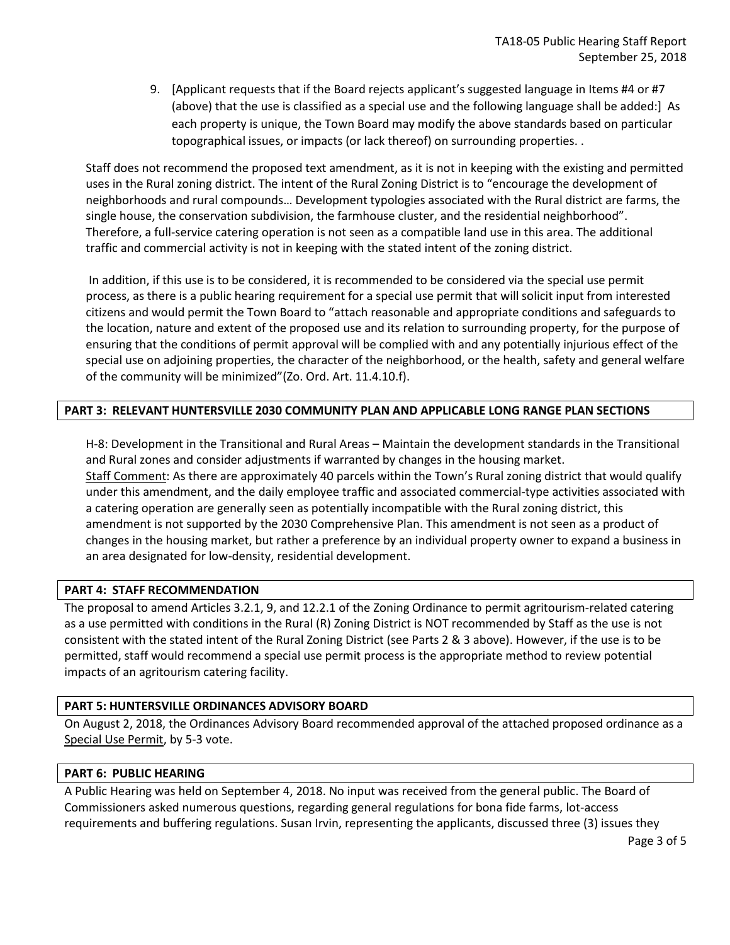9. [Applicant requests that if the Board rejects applicant's suggested language in Items #4 or #7 (above) that the use is classified as a special use and the following language shall be added:] As each property is unique, the Town Board may modify the above standards based on particular topographical issues, or impacts (or lack thereof) on surrounding properties. .

Staff does not recommend the proposed text amendment, as it is not in keeping with the existing and permitted uses in the Rural zoning district. The intent of the Rural Zoning District is to "encourage the development of neighborhoods and rural compounds… Development typologies associated with the Rural district are farms, the single house, the conservation subdivision, the farmhouse cluster, and the residential neighborhood". Therefore, a full-service catering operation is not seen as a compatible land use in this area. The additional traffic and commercial activity is not in keeping with the stated intent of the zoning district.

In addition, if this use is to be considered, it is recommended to be considered via the special use permit process, as there is a public hearing requirement for a special use permit that will solicit input from interested citizens and would permit the Town Board to "attach reasonable and appropriate conditions and safeguards to the location, nature and extent of the proposed use and its relation to surrounding property, for the purpose of ensuring that the conditions of permit approval will be complied with and any potentially injurious effect of the special use on adjoining properties, the character of the neighborhood, or the health, safety and general welfare of the community will be minimized"(Zo. Ord. Art. 11.4.10.f).

## **PART 3: RELEVANT HUNTERSVILLE 2030 COMMUNITY PLAN AND APPLICABLE LONG RANGE PLAN SECTIONS**

H-8: Development in the Transitional and Rural Areas – Maintain the development standards in the Transitional and Rural zones and consider adjustments if warranted by changes in the housing market. Staff Comment: As there are approximately 40 parcels within the Town's Rural zoning district that would qualify under this amendment, and the daily employee traffic and associated commercial-type activities associated with a catering operation are generally seen as potentially incompatible with the Rural zoning district, this amendment is not supported by the 2030 Comprehensive Plan. This amendment is not seen as a product of changes in the housing market, but rather a preference by an individual property owner to expand a business in an area designated for low-density, residential development.

### **PART 4: STAFF RECOMMENDATION**

The proposal to amend Articles 3.2.1, 9, and 12.2.1 of the Zoning Ordinance to permit agritourism-related catering as a use permitted with conditions in the Rural (R) Zoning District is NOT recommended by Staff as the use is not consistent with the stated intent of the Rural Zoning District (see Parts 2 & 3 above). However, if the use is to be permitted, staff would recommend a special use permit process is the appropriate method to review potential impacts of an agritourism catering facility.

### **PART 5: HUNTERSVILLE ORDINANCES ADVISORY BOARD**

On August 2, 2018, the Ordinances Advisory Board recommended approval of the attached proposed ordinance as a Special Use Permit, by 5-3 vote.

### **PART 6: PUBLIC HEARING**

A Public Hearing was held on September 4, 2018. No input was received from the general public. The Board of Commissioners asked numerous questions, regarding general regulations for bona fide farms, lot-access requirements and buffering regulations. Susan Irvin, representing the applicants, discussed three (3) issues they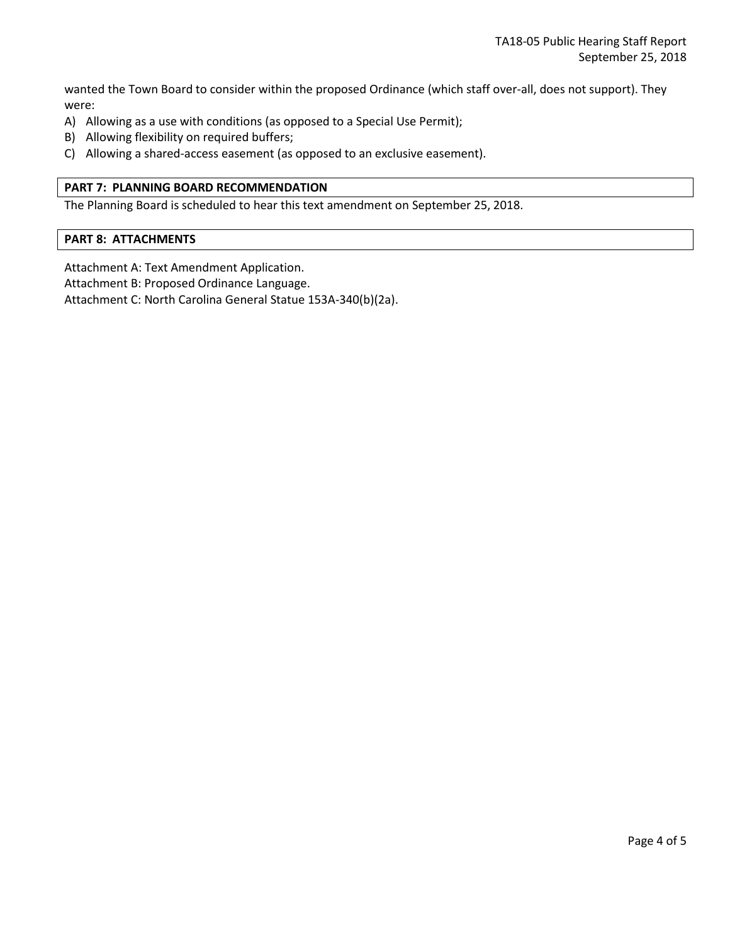wanted the Town Board to consider within the proposed Ordinance (which staff over-all, does not support). They were:

- A) Allowing as a use with conditions (as opposed to a Special Use Permit);
- B) Allowing flexibility on required buffers;
- C) Allowing a shared-access easement (as opposed to an exclusive easement).

### **PART 7: PLANNING BOARD RECOMMENDATION**

The Planning Board is scheduled to hear this text amendment on September 25, 2018.

#### **PART 8: ATTACHMENTS**

Attachment A: Text Amendment Application.

Attachment B: Proposed Ordinance Language.

Attachment C: North Carolina General Statue 153A-340(b)(2a).